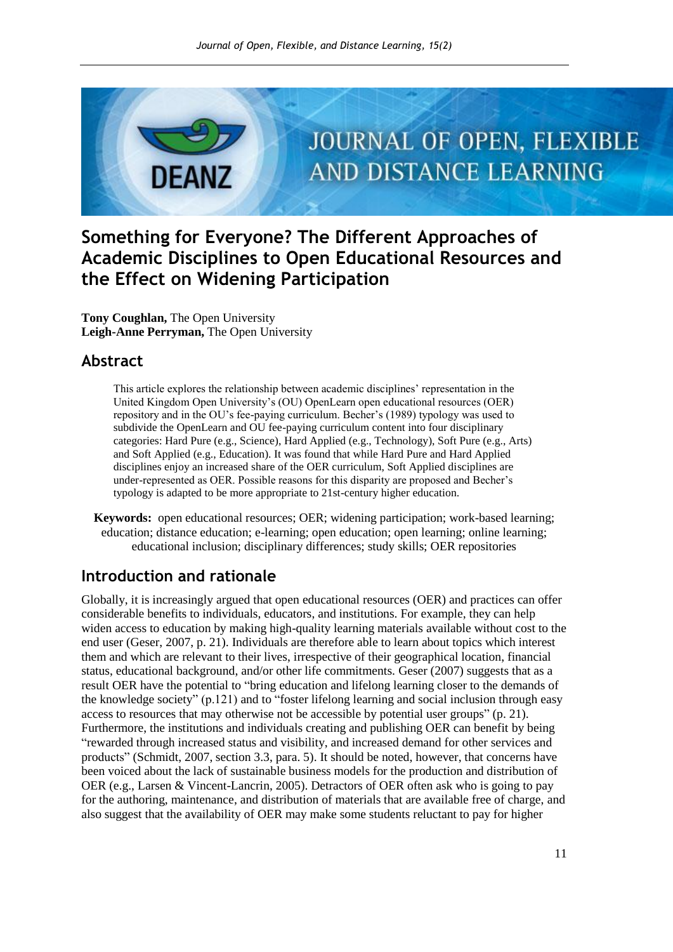

# **Something for Everyone? The Different Approaches of Academic Disciplines to Open Educational Resources and the Effect on Widening Participation**

**Tony Coughlan,** The Open University **Leigh-Anne Perryman,** The Open University

### **Abstract**

This article explores the relationship between academic disciplines' representation in the United Kingdom Open University's (OU) OpenLearn open educational resources (OER) repository and in the OU's fee-paying curriculum. Becher's (1989) typology was used to subdivide the OpenLearn and OU fee-paying curriculum content into four disciplinary categories: Hard Pure (e.g., Science), Hard Applied (e.g., Technology), Soft Pure (e.g., Arts) and Soft Applied (e.g., Education). It was found that while Hard Pure and Hard Applied disciplines enjoy an increased share of the OER curriculum, Soft Applied disciplines are under-represented as OER. Possible reasons for this disparity are proposed and Becher's typology is adapted to be more appropriate to 21st-century higher education.

**Keywords:** open educational resources; OER; widening participation; work-based learning; education; distance education; e-learning; open education; open learning; online learning; educational inclusion; disciplinary differences; study skills; OER repositories

## **Introduction and rationale**

Globally, it is increasingly argued that open educational resources (OER) and practices can offer considerable benefits to individuals, educators, and institutions. For example, they can help widen access to education by making high-quality learning materials available without cost to the end user (Geser, 2007, p. 21). Individuals are therefore able to learn about topics which interest them and which are relevant to their lives, irrespective of their geographical location, financial status, educational background, and/or other life commitments. Geser (2007) suggests that as a result OER have the potential to "bring education and lifelong learning closer to the demands of the knowledge society"  $(p.121)$  and to "foster lifelong learning and social inclusion through easy access to resources that may otherwise not be accessible by potential user groups"  $(p, 21)$ . Furthermore, the institutions and individuals creating and publishing OER can benefit by being ―rewarded through increased status and visibility, and increased demand for other services and products" (Schmidt, 2007, section 3.3, para. 5). It should be noted, however, that concerns have been voiced about the lack of sustainable business models for the production and distribution of OER (e.g., Larsen & Vincent-Lancrin, 2005). Detractors of OER often ask who is going to pay for the authoring, maintenance, and distribution of materials that are available free of charge, and also suggest that the availability of OER may make some students reluctant to pay for higher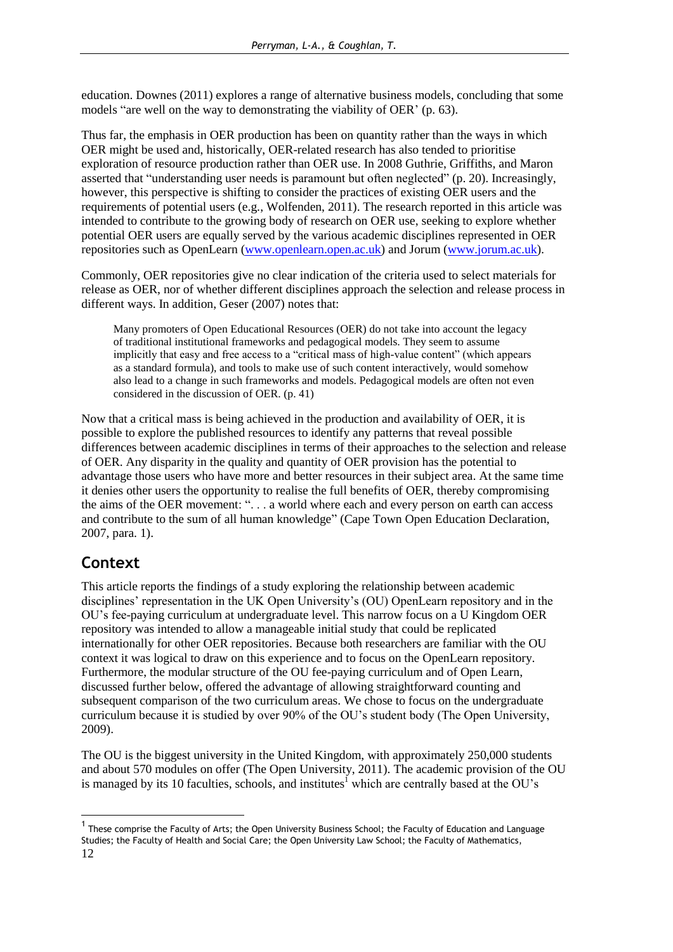education. Downes (2011) explores a range of alternative business models, concluding that some models "are well on the way to demonstrating the viability of OER' (p. 63).

Thus far, the emphasis in OER production has been on quantity rather than the ways in which OER might be used and, historically, OER-related research has also tended to prioritise exploration of resource production rather than OER use. In 2008 Guthrie, Griffiths, and Maron asserted that "understanding user needs is paramount but often neglected" (p. 20). Increasingly, however, this perspective is shifting to consider the practices of existing OER users and the requirements of potential users (e.g., Wolfenden, 2011). The research reported in this article was intended to contribute to the growing body of research on OER use, seeking to explore whether potential OER users are equally served by the various academic disciplines represented in OER repositories such as OpenLearn [\(www.openlearn.open.ac.uk\)](http://www.openlearn.open.ac.uk/) and Jorum [\(www.jorum.ac.uk\)](http://www.jorum.ac.uk/).

Commonly, OER repositories give no clear indication of the criteria used to select materials for release as OER, nor of whether different disciplines approach the selection and release process in different ways. In addition, Geser (2007) notes that:

Many promoters of Open Educational Resources (OER) do not take into account the legacy of traditional institutional frameworks and pedagogical models. They seem to assume implicitly that easy and free access to a "critical mass of high-value content" (which appears as a standard formula), and tools to make use of such content interactively, would somehow also lead to a change in such frameworks and models. Pedagogical models are often not even considered in the discussion of OER. (p. 41)

Now that a critical mass is being achieved in the production and availability of OER, it is possible to explore the published resources to identify any patterns that reveal possible differences between academic disciplines in terms of their approaches to the selection and release of OER. Any disparity in the quality and quantity of OER provision has the potential to advantage those users who have more and better resources in their subject area. At the same time it denies other users the opportunity to realise the full benefits of OER, thereby compromising the aims of the OER movement: "... a world where each and every person on earth can access and contribute to the sum of all human knowledge" (Cape Town Open Education Declaration, 2007, para. 1).

## **Context**

-

This article reports the findings of a study exploring the relationship between academic disciplines' representation in the UK Open University's (OU) OpenLearn repository and in the OU's fee-paying curriculum at undergraduate level. This narrow focus on a U Kingdom OER repository was intended to allow a manageable initial study that could be replicated internationally for other OER repositories. Because both researchers are familiar with the OU context it was logical to draw on this experience and to focus on the OpenLearn repository. Furthermore, the modular structure of the OU fee-paying curriculum and of Open Learn, discussed further below, offered the advantage of allowing straightforward counting and subsequent comparison of the two curriculum areas. We chose to focus on the undergraduate curriculum because it is studied by over 90% of the OU's student body (The Open University, 2009).

The OU is the biggest university in the United Kingdom, with approximately 250,000 students and about 570 modules on offer (The Open University, 2011). The academic provision of the OU is managed by its 10 faculties, schools, and institutes<sup>1</sup> which are centrally based at the OU's

<sup>12</sup> <sup>1</sup> These comprise the Faculty of Arts; the Open University Business School; the Faculty of Education and Language Studies; the Faculty of Health and Social Care; the Open University Law School; the Faculty of Mathematics,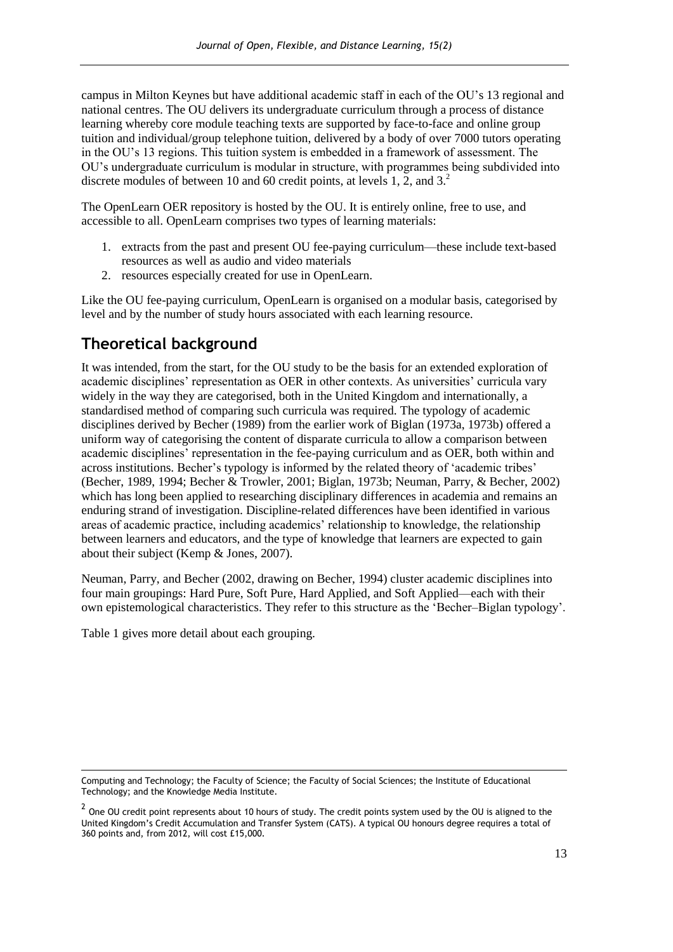campus in Milton Keynes but have additional academic staff in each of the OU's 13 regional and national centres. The OU delivers its undergraduate curriculum through a process of distance learning whereby core module teaching texts are supported by face-to-face and online group tuition and individual/group telephone tuition, delivered by a body of over 7000 tutors operating in the OU's 13 regions. This tuition system is embedded in a framework of assessment. The OU's undergraduate curriculum is modular in structure, with programmes being subdivided into discrete modules of between 10 and 60 credit points, at levels 1, 2, and 3.<sup>2</sup>

The OpenLearn OER repository is hosted by the OU. It is entirely online, free to use, and accessible to all. OpenLearn comprises two types of learning materials:

- 1. extracts from the past and present OU fee-paying curriculum—these include text-based resources as well as audio and video materials
- 2. resources especially created for use in OpenLearn.

Like the OU fee-paying curriculum, OpenLearn is organised on a modular basis, categorised by level and by the number of study hours associated with each learning resource.

## **Theoretical background**

It was intended, from the start, for the OU study to be the basis for an extended exploration of academic disciplines' representation as OER in other contexts. As universities' curricula vary widely in the way they are categorised, both in the United Kingdom and internationally, a standardised method of comparing such curricula was required. The typology of academic disciplines derived by Becher (1989) from the earlier work of Biglan (1973a, 1973b) offered a uniform way of categorising the content of disparate curricula to allow a comparison between academic disciplines' representation in the fee-paying curriculum and as OER, both within and across institutions. Becher's typology is informed by the related theory of 'academic tribes' (Becher, 1989, 1994; Becher & Trowler, 2001; Biglan, 1973b; Neuman, Parry, & Becher, 2002) which has long been applied to researching disciplinary differences in academia and remains an enduring strand of investigation. Discipline-related differences have been identified in various areas of academic practice, including academics' relationship to knowledge, the relationship between learners and educators, and the type of knowledge that learners are expected to gain about their subject (Kemp & Jones, 2007).

Neuman, Parry, and Becher (2002, drawing on Becher, 1994) cluster academic disciplines into four main groupings: Hard Pure, Soft Pure, Hard Applied, and Soft Applied—each with their own epistemological characteristics. They refer to this structure as the 'Becher–Biglan typology'.

Table 1 gives more detail about each grouping.

-

Computing and Technology; the Faculty of Science; the Faculty of Social Sciences; the Institute of Educational Technology; and the Knowledge Media Institute.

 $^2$  One OU credit point represents about 10 hours of study. The credit points system used by the OU is aligned to the United Kingdom's Credit Accumulation and Transfer System (CATS). A typical OU honours degree requires a total of 360 points and, from 2012, will cost £15,000.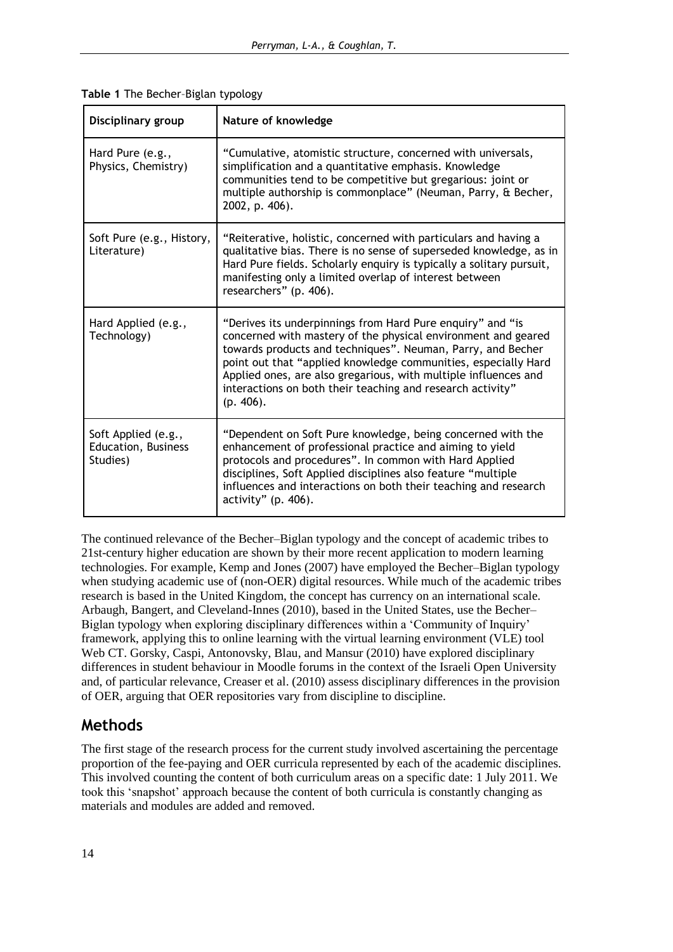| Disciplinary group                                            | Nature of knowledge                                                                                                                                                                                                                                                                                                                                                                                        |
|---------------------------------------------------------------|------------------------------------------------------------------------------------------------------------------------------------------------------------------------------------------------------------------------------------------------------------------------------------------------------------------------------------------------------------------------------------------------------------|
| Hard Pure (e.g.,<br>Physics, Chemistry)                       | "Cumulative, atomistic structure, concerned with universals,<br>simplification and a quantitative emphasis. Knowledge<br>communities tend to be competitive but gregarious: joint or<br>multiple authorship is commonplace" (Neuman, Parry, & Becher,<br>2002, p. 406).                                                                                                                                    |
| Soft Pure (e.g., History,<br>Literature)                      | "Reiterative, holistic, concerned with particulars and having a<br>qualitative bias. There is no sense of superseded knowledge, as in<br>Hard Pure fields. Scholarly enquiry is typically a solitary pursuit,<br>manifesting only a limited overlap of interest between<br>researchers" (p. 406).                                                                                                          |
| Hard Applied (e.g.,<br>Technology)                            | "Derives its underpinnings from Hard Pure enquiry" and "is<br>concerned with mastery of the physical environment and geared<br>towards products and techniques". Neuman, Parry, and Becher<br>point out that "applied knowledge communities, especially Hard<br>Applied ones, are also gregarious, with multiple influences and<br>interactions on both their teaching and research activity"<br>(p. 406). |
| Soft Applied (e.g.,<br><b>Education, Business</b><br>Studies) | "Dependent on Soft Pure knowledge, being concerned with the<br>enhancement of professional practice and aiming to yield<br>protocols and procedures". In common with Hard Applied<br>disciplines, Soft Applied disciplines also feature "multiple<br>influences and interactions on both their teaching and research<br>activity" $(p. 406)$ .                                                             |

**Table 1** The Becher–Biglan typology

The continued relevance of the Becher–Biglan typology and the concept of academic tribes to 21st-century higher education are shown by their more recent application to modern learning technologies. For example, Kemp and Jones (2007) have employed the Becher–Biglan typology when studying academic use of (non-OER) digital resources. While much of the academic tribes research is based in the United Kingdom, the concept has currency on an international scale. Arbaugh, Bangert, and Cleveland-Innes (2010), based in the United States, use the Becher– Biglan typology when exploring disciplinary differences within a 'Community of Inquiry' framework, applying this to online learning with the virtual learning environment (VLE) tool Web CT. Gorsky, Caspi, Antonovsky, Blau, and Mansur (2010) have explored disciplinary differences in student behaviour in Moodle forums in the context of the Israeli Open University and, of particular relevance, Creaser et al. (2010) assess disciplinary differences in the provision of OER, arguing that OER repositories vary from discipline to discipline.

## **Methods**

The first stage of the research process for the current study involved ascertaining the percentage proportion of the fee-paying and OER curricula represented by each of the academic disciplines. This involved counting the content of both curriculum areas on a specific date: 1 July 2011. We took this 'snapshot' approach because the content of both curricula is constantly changing as materials and modules are added and removed.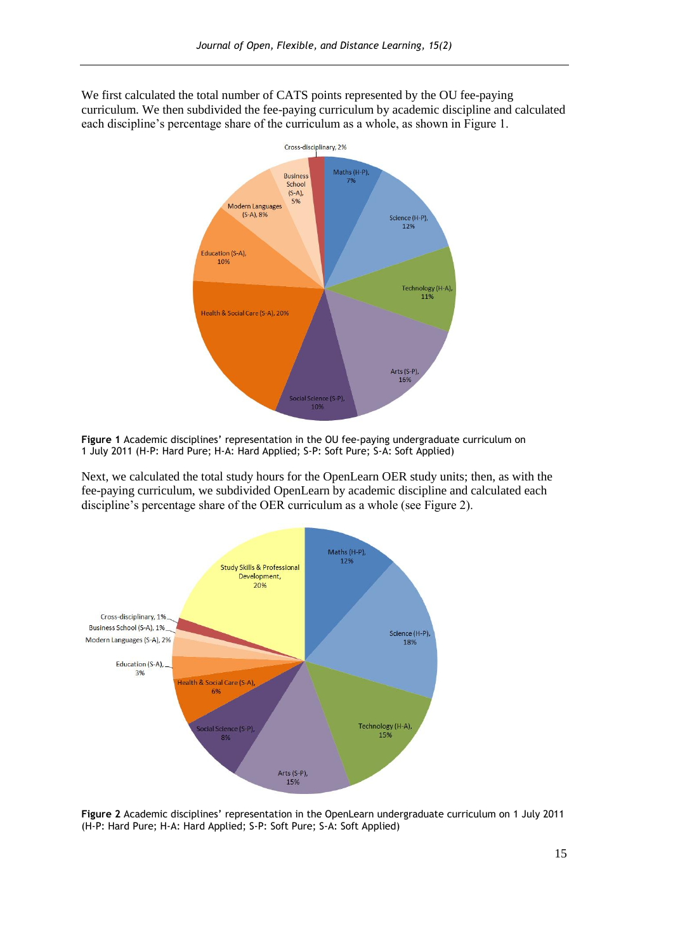We first calculated the total number of CATS points represented by the OU fee-paying curriculum. We then subdivided the fee-paying curriculum by academic discipline and calculated each discipline's percentage share of the curriculum as a whole, as shown in Figure 1.



**Figure 1** Academic disciplines' representation in the OU fee-paying undergraduate curriculum on 1 July 2011 (H-P: Hard Pure; H-A: Hard Applied; S-P: Soft Pure; S-A: Soft Applied)

Next, we calculated the total study hours for the OpenLearn OER study units; then, as with the fee-paying curriculum, we subdivided OpenLearn by academic discipline and calculated each discipline's percentage share of the OER curriculum as a whole (see Figure 2).



**Figure 2** Academic disciplines' representation in the OpenLearn undergraduate curriculum on 1 July 2011 (H-P: Hard Pure; H-A: Hard Applied; S-P: Soft Pure; S-A: Soft Applied)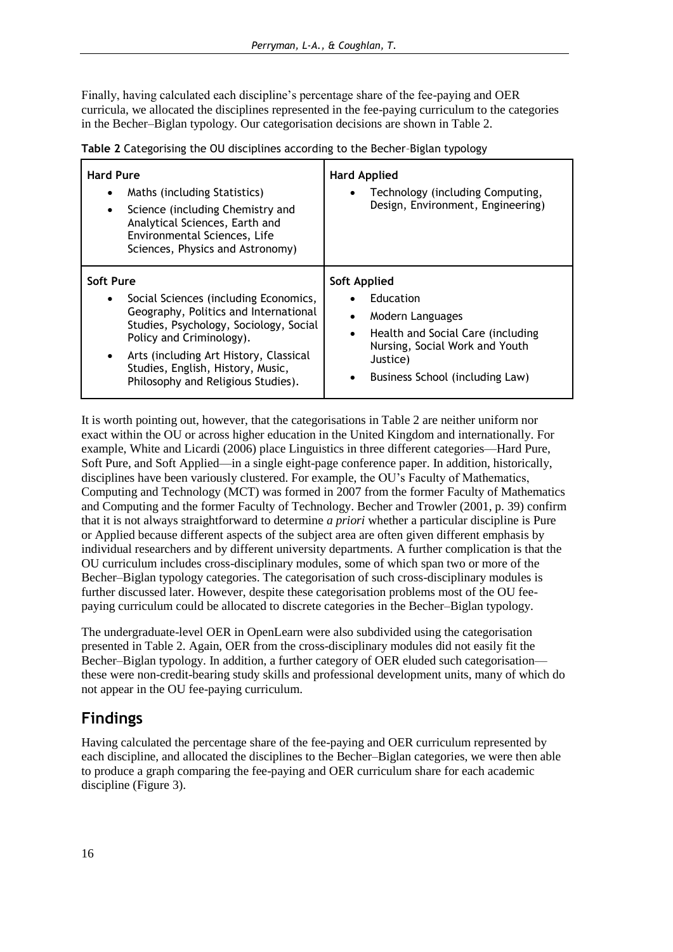Finally, having calculated each discipline's percentage share of the fee-paying and OER curricula, we allocated the disciplines represented in the fee-paying curriculum to the categories in the Becher–Biglan typology. Our categorisation decisions are shown in Table 2.

| Table 2 Categorising the OU disciplines according to the Becher-Biglan typology |  |  |
|---------------------------------------------------------------------------------|--|--|
|                                                                                 |  |  |

| <b>Hard Pure</b><br>Maths (including Statistics)<br>Science (including Chemistry and<br>٠<br>Analytical Sciences, Earth and<br>Environmental Sciences, Life<br>Sciences, Physics and Astronomy) | <b>Hard Applied</b><br>Technology (including Computing,<br>$\bullet$<br>Design, Environment, Engineering) |
|-------------------------------------------------------------------------------------------------------------------------------------------------------------------------------------------------|-----------------------------------------------------------------------------------------------------------|
| Soft Pure                                                                                                                                                                                       | Soft Applied                                                                                              |
| Social Sciences (including Economics,                                                                                                                                                           | Education                                                                                                 |
| $\bullet$                                                                                                                                                                                       | Modern Languages                                                                                          |
| Geography, Politics and International                                                                                                                                                           | $\bullet$                                                                                                 |
| Studies, Psychology, Sociology, Social                                                                                                                                                          | Health and Social Care (including                                                                         |
| Policy and Criminology).                                                                                                                                                                        | $\bullet$                                                                                                 |
| Arts (including Art History, Classical                                                                                                                                                          | Nursing, Social Work and Youth                                                                            |
| $\bullet$                                                                                                                                                                                       | Justice)                                                                                                  |
| Studies, English, History, Music,                                                                                                                                                               | Business School (including Law)                                                                           |
| Philosophy and Religious Studies).                                                                                                                                                              | ٠                                                                                                         |

It is worth pointing out, however, that the categorisations in Table 2 are neither uniform nor exact within the OU or across higher education in the United Kingdom and internationally. For example, White and Licardi (2006) place Linguistics in three different categories—Hard Pure, Soft Pure, and Soft Applied—in a single eight-page conference paper. In addition, historically, disciplines have been variously clustered. For example, the OU's Faculty of Mathematics, Computing and Technology (MCT) was formed in 2007 from the former Faculty of Mathematics and Computing and the former Faculty of Technology. Becher and Trowler (2001, p. 39) confirm that it is not always straightforward to determine *a priori* whether a particular discipline is Pure or Applied because different aspects of the subject area are often given different emphasis by individual researchers and by different university departments. A further complication is that the OU curriculum includes cross-disciplinary modules, some of which span two or more of the Becher–Biglan typology categories. The categorisation of such cross-disciplinary modules is further discussed later. However, despite these categorisation problems most of the OU feepaying curriculum could be allocated to discrete categories in the Becher–Biglan typology.

The undergraduate-level OER in OpenLearn were also subdivided using the categorisation presented in Table 2. Again, OER from the cross-disciplinary modules did not easily fit the Becher–Biglan typology. In addition, a further category of OER eluded such categorisation these were non-credit-bearing study skills and professional development units, many of which do not appear in the OU fee-paying curriculum.

# **Findings**

Having calculated the percentage share of the fee-paying and OER curriculum represented by each discipline, and allocated the disciplines to the Becher–Biglan categories, we were then able to produce a graph comparing the fee-paying and OER curriculum share for each academic discipline (Figure 3).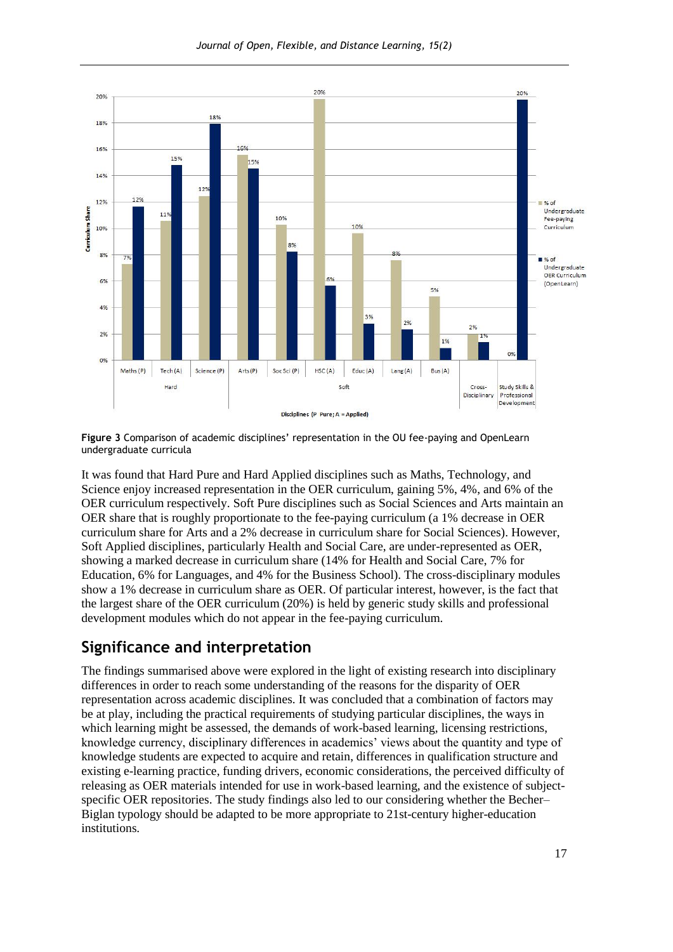

**Figure 3** Comparison of academic disciplines' representation in the OU fee-paying and OpenLearn undergraduate curricula

It was found that Hard Pure and Hard Applied disciplines such as Maths, Technology, and Science enjoy increased representation in the OER curriculum, gaining 5%, 4%, and 6% of the OER curriculum respectively. Soft Pure disciplines such as Social Sciences and Arts maintain an OER share that is roughly proportionate to the fee-paying curriculum (a 1% decrease in OER curriculum share for Arts and a 2% decrease in curriculum share for Social Sciences). However, Soft Applied disciplines, particularly Health and Social Care, are under-represented as OER, showing a marked decrease in curriculum share (14% for Health and Social Care, 7% for Education, 6% for Languages, and 4% for the Business School). The cross-disciplinary modules show a 1% decrease in curriculum share as OER. Of particular interest, however, is the fact that the largest share of the OER curriculum (20%) is held by generic study skills and professional development modules which do not appear in the fee-paying curriculum.

## **Significance and interpretation**

The findings summarised above were explored in the light of existing research into disciplinary differences in order to reach some understanding of the reasons for the disparity of OER representation across academic disciplines. It was concluded that a combination of factors may be at play, including the practical requirements of studying particular disciplines, the ways in which learning might be assessed, the demands of work-based learning, licensing restrictions, knowledge currency, disciplinary differences in academics' views about the quantity and type of knowledge students are expected to acquire and retain, differences in qualification structure and existing e-learning practice, funding drivers, economic considerations, the perceived difficulty of releasing as OER materials intended for use in work-based learning, and the existence of subjectspecific OER repositories. The study findings also led to our considering whether the Becher– Biglan typology should be adapted to be more appropriate to 21st-century higher-education institutions.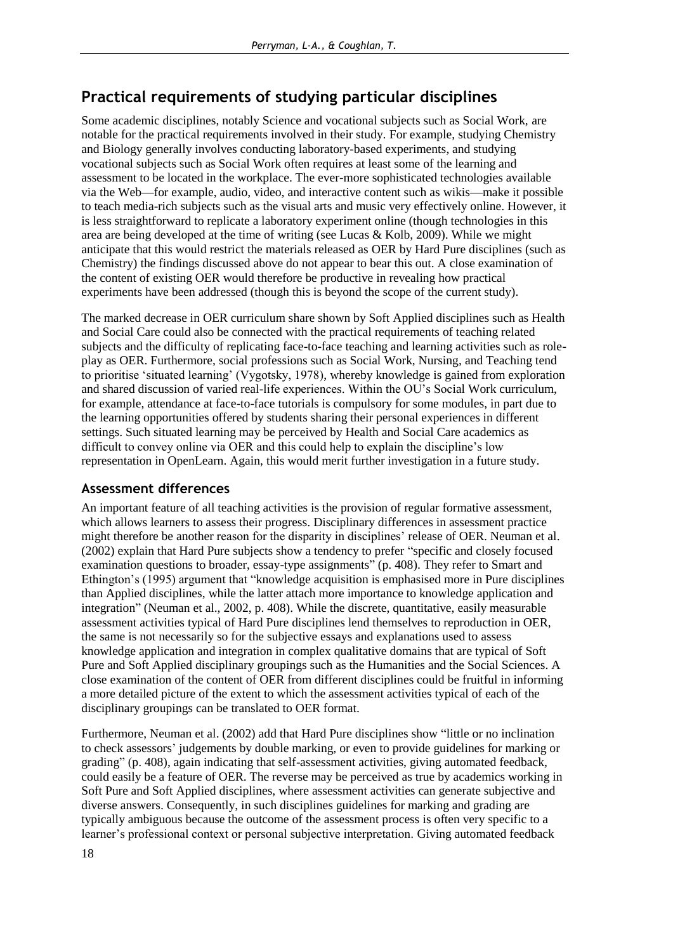## **Practical requirements of studying particular disciplines**

Some academic disciplines, notably Science and vocational subjects such as Social Work, are notable for the practical requirements involved in their study. For example, studying Chemistry and Biology generally involves conducting laboratory-based experiments, and studying vocational subjects such as Social Work often requires at least some of the learning and assessment to be located in the workplace. The ever-more sophisticated technologies available via the Web—for example, audio, video, and interactive content such as wikis—make it possible to teach media-rich subjects such as the visual arts and music very effectively online. However, it is less straightforward to replicate a laboratory experiment online (though technologies in this area are being developed at the time of writing (see Lucas & Kolb, 2009). While we might anticipate that this would restrict the materials released as OER by Hard Pure disciplines (such as Chemistry) the findings discussed above do not appear to bear this out. A close examination of the content of existing OER would therefore be productive in revealing how practical experiments have been addressed (though this is beyond the scope of the current study).

The marked decrease in OER curriculum share shown by Soft Applied disciplines such as Health and Social Care could also be connected with the practical requirements of teaching related subjects and the difficulty of replicating face-to-face teaching and learning activities such as roleplay as OER. Furthermore, social professions such as Social Work, Nursing, and Teaching tend to prioritise ‗situated learning' (Vygotsky, 1978), whereby knowledge is gained from exploration and shared discussion of varied real-life experiences. Within the OU's Social Work curriculum, for example, attendance at face-to-face tutorials is compulsory for some modules, in part due to the learning opportunities offered by students sharing their personal experiences in different settings. Such situated learning may be perceived by Health and Social Care academics as difficult to convey online via OER and this could help to explain the discipline's low representation in OpenLearn. Again, this would merit further investigation in a future study.

### **Assessment differences**

An important feature of all teaching activities is the provision of regular formative assessment, which allows learners to assess their progress. Disciplinary differences in assessment practice might therefore be another reason for the disparity in disciplines' release of OER. Neuman et al.  $(2002)$  explain that Hard Pure subjects show a tendency to prefer "specific and closely focused examination questions to broader, essay-type assignments" (p. 408). They refer to Smart and Ethington's (1995) argument that "knowledge acquisition is emphasised more in Pure disciplines than Applied disciplines, while the latter attach more importance to knowledge application and integration" (Neuman et al., 2002, p. 408). While the discrete, quantitative, easily measurable assessment activities typical of Hard Pure disciplines lend themselves to reproduction in OER, the same is not necessarily so for the subjective essays and explanations used to assess knowledge application and integration in complex qualitative domains that are typical of Soft Pure and Soft Applied disciplinary groupings such as the Humanities and the Social Sciences. A close examination of the content of OER from different disciplines could be fruitful in informing a more detailed picture of the extent to which the assessment activities typical of each of the disciplinary groupings can be translated to OER format.

Furthermore, Neuman et al. (2002) add that Hard Pure disciplines show "little or no inclination to check assessors' judgements by double marking, or even to provide guidelines for marking or grading" (p. 408), again indicating that self-assessment activities, giving automated feedback, could easily be a feature of OER. The reverse may be perceived as true by academics working in Soft Pure and Soft Applied disciplines, where assessment activities can generate subjective and diverse answers. Consequently, in such disciplines guidelines for marking and grading are typically ambiguous because the outcome of the assessment process is often very specific to a learner's professional context or personal subjective interpretation. Giving automated feedback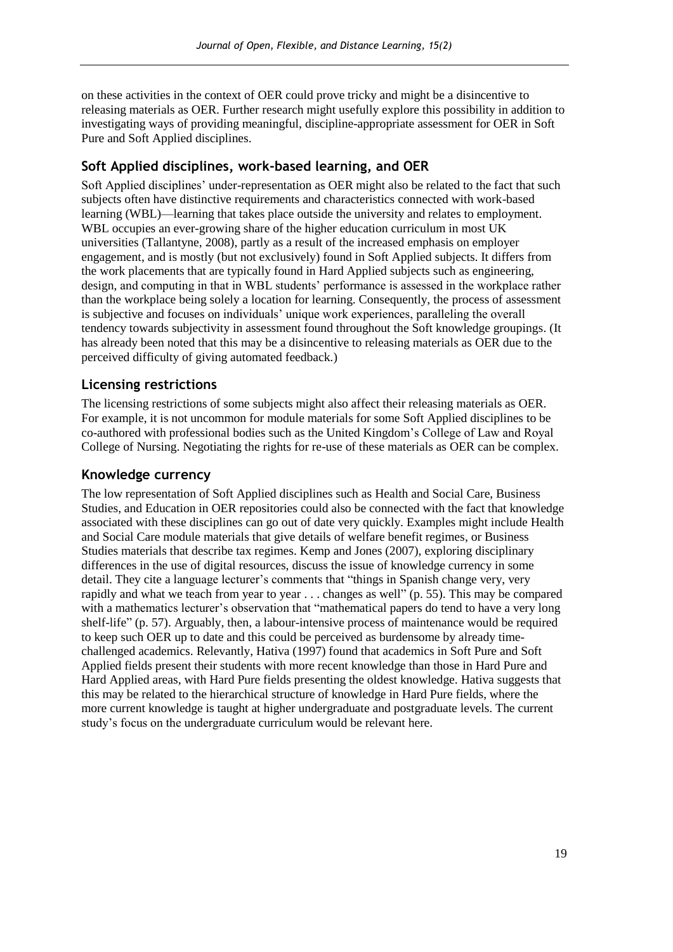on these activities in the context of OER could prove tricky and might be a disincentive to releasing materials as OER. Further research might usefully explore this possibility in addition to investigating ways of providing meaningful, discipline-appropriate assessment for OER in Soft Pure and Soft Applied disciplines.

### **Soft Applied disciplines, work-based learning, and OER**

Soft Applied disciplines' under-representation as OER might also be related to the fact that such subjects often have distinctive requirements and characteristics connected with work-based learning (WBL)—learning that takes place outside the university and relates to employment. WBL occupies an ever-growing share of the higher education curriculum in most UK universities (Tallantyne, 2008), partly as a result of the increased emphasis on employer engagement, and is mostly (but not exclusively) found in Soft Applied subjects. It differs from the work placements that are typically found in Hard Applied subjects such as engineering, design, and computing in that in WBL students' performance is assessed in the workplace rather than the workplace being solely a location for learning. Consequently, the process of assessment is subjective and focuses on individuals' unique work experiences, paralleling the overall tendency towards subjectivity in assessment found throughout the Soft knowledge groupings. (It has already been noted that this may be a disincentive to releasing materials as OER due to the perceived difficulty of giving automated feedback.)

### **Licensing restrictions**

The licensing restrictions of some subjects might also affect their releasing materials as OER. For example, it is not uncommon for module materials for some Soft Applied disciplines to be co-authored with professional bodies such as the United Kingdom's College of Law and Royal College of Nursing. Negotiating the rights for re-use of these materials as OER can be complex.

#### **Knowledge currency**

The low representation of Soft Applied disciplines such as Health and Social Care, Business Studies, and Education in OER repositories could also be connected with the fact that knowledge associated with these disciplines can go out of date very quickly. Examples might include Health and Social Care module materials that give details of welfare benefit regimes, or Business Studies materials that describe tax regimes. Kemp and Jones (2007), exploring disciplinary differences in the use of digital resources, discuss the issue of knowledge currency in some detail. They cite a language lecturer's comments that "things in Spanish change very, very rapidly and what we teach from year to year  $\dots$  changes as well" (p. 55). This may be compared with a mathematics lecturer's observation that "mathematical papers do tend to have a very long shelf-life" (p. 57). Arguably, then, a labour-intensive process of maintenance would be required to keep such OER up to date and this could be perceived as burdensome by already timechallenged academics. Relevantly, Hativa (1997) found that academics in Soft Pure and Soft Applied fields present their students with more recent knowledge than those in Hard Pure and Hard Applied areas, with Hard Pure fields presenting the oldest knowledge. Hativa suggests that this may be related to the hierarchical structure of knowledge in Hard Pure fields, where the more current knowledge is taught at higher undergraduate and postgraduate levels. The current study's focus on the undergraduate curriculum would be relevant here.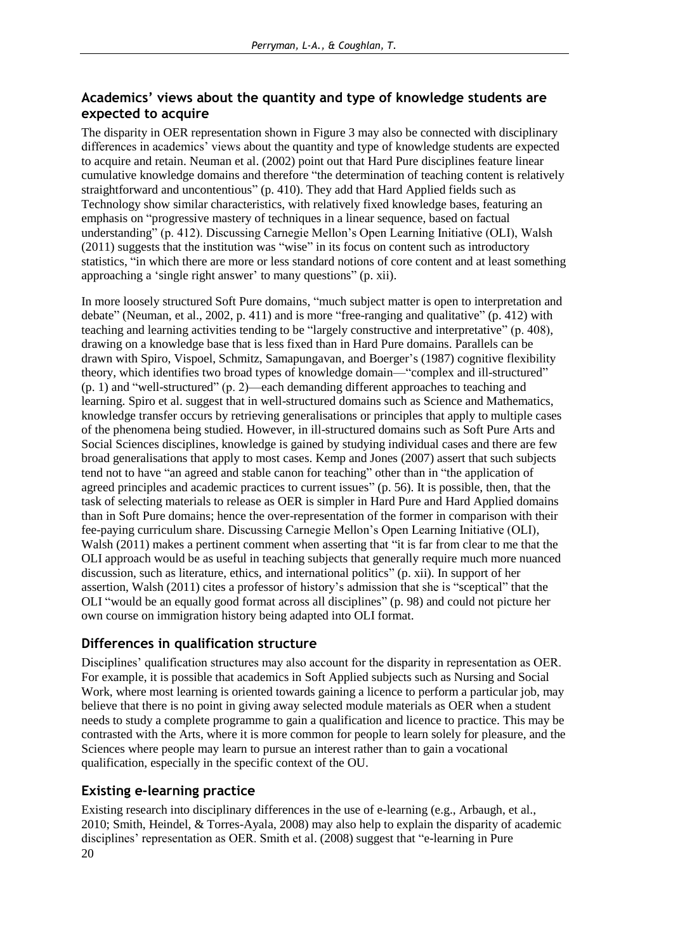## **Academics' views about the quantity and type of knowledge students are expected to acquire**

The disparity in OER representation shown in Figure 3 may also be connected with disciplinary differences in academics' views about the quantity and type of knowledge students are expected to acquire and retain. Neuman et al. (2002) point out that Hard Pure disciplines feature linear cumulative knowledge domains and therefore "the determination of teaching content is relatively straightforward and uncontentious" (p. 410). They add that Hard Applied fields such as Technology show similar characteristics, with relatively fixed knowledge bases, featuring an emphasis on "progressive mastery of techniques in a linear sequence, based on factual understanding" (p. 412). Discussing Carnegie Mellon's Open Learning Initiative (OLI), Walsh  $(2011)$  suggests that the institution was "wise" in its focus on content such as introductory statistics, "in which there are more or less standard notions of core content and at least something approaching a 'single right answer' to many questions" (p. xii).

In more loosely structured Soft Pure domains, "much subject matter is open to interpretation and debate" (Neuman, et al., 2002, p. 411) and is more "free-ranging and qualitative" (p. 412) with teaching and learning activities tending to be "largely constructive and interpretative" (p. 408), drawing on a knowledge base that is less fixed than in Hard Pure domains. Parallels can be drawn with Spiro, Vispoel, Schmitz, Samapungavan, and Boerger's (1987) cognitive flexibility theory, which identifies two broad types of knowledge domain—"complex and ill-structured"  $(p, 1)$  and "well-structured"  $(p, 2)$ —each demanding different approaches to teaching and learning. Spiro et al. suggest that in well-structured domains such as Science and Mathematics, knowledge transfer occurs by retrieving generalisations or principles that apply to multiple cases of the phenomena being studied. However, in ill-structured domains such as Soft Pure Arts and Social Sciences disciplines, knowledge is gained by studying individual cases and there are few broad generalisations that apply to most cases. Kemp and Jones (2007) assert that such subjects tend not to have "an agreed and stable canon for teaching" other than in "the application of agreed principles and academic practices to current issues" (p. 56). It is possible, then, that the task of selecting materials to release as OER is simpler in Hard Pure and Hard Applied domains than in Soft Pure domains; hence the over-representation of the former in comparison with their fee-paying curriculum share. Discussing Carnegie Mellon's Open Learning Initiative (OLI), Walsh (2011) makes a pertinent comment when asserting that "it is far from clear to me that the OLI approach would be as useful in teaching subjects that generally require much more nuanced discussion, such as literature, ethics, and international politics" (p. xii). In support of her assertion, Walsh (2011) cites a professor of history's admission that she is "sceptical" that the OLI "would be an equally good format across all disciplines" (p. 98) and could not picture her own course on immigration history being adapted into OLI format.

### **Differences in qualification structure**

Disciplines' qualification structures may also account for the disparity in representation as OER. For example, it is possible that academics in Soft Applied subjects such as Nursing and Social Work, where most learning is oriented towards gaining a licence to perform a particular job, may believe that there is no point in giving away selected module materials as OER when a student needs to study a complete programme to gain a qualification and licence to practice. This may be contrasted with the Arts, where it is more common for people to learn solely for pleasure, and the Sciences where people may learn to pursue an interest rather than to gain a vocational qualification, especially in the specific context of the OU.

## **Existing e-learning practice**

20 Existing research into disciplinary differences in the use of e-learning (e.g., Arbaugh, et al., 2010; Smith, Heindel, & Torres-Ayala, 2008) may also help to explain the disparity of academic disciplines' representation as OER. Smith et al. (2008) suggest that "e-learning in Pure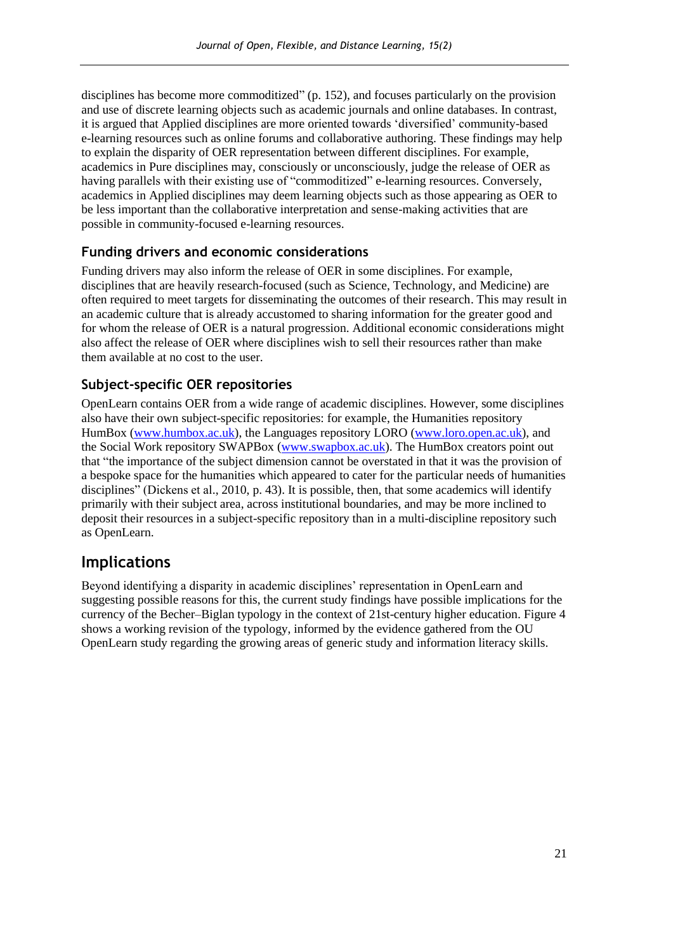disciplines has become more commoditized" (p. 152), and focuses particularly on the provision and use of discrete learning objects such as academic journals and online databases. In contrast, it is argued that Applied disciplines are more oriented towards ‗diversified' community-based e-learning resources such as online forums and collaborative authoring. These findings may help to explain the disparity of OER representation between different disciplines. For example, academics in Pure disciplines may, consciously or unconsciously, judge the release of OER as having parallels with their existing use of "commoditized" e-learning resources. Conversely, academics in Applied disciplines may deem learning objects such as those appearing as OER to be less important than the collaborative interpretation and sense-making activities that are possible in community-focused e-learning resources.

### **Funding drivers and economic considerations**

Funding drivers may also inform the release of OER in some disciplines. For example, disciplines that are heavily research-focused (such as Science, Technology, and Medicine) are often required to meet targets for disseminating the outcomes of their research. This may result in an academic culture that is already accustomed to sharing information for the greater good and for whom the release of OER is a natural progression. Additional economic considerations might also affect the release of OER where disciplines wish to sell their resources rather than make them available at no cost to the user.

### **Subject-specific OER repositories**

OpenLearn contains OER from a wide range of academic disciplines. However, some disciplines also have their own subject-specific repositories: for example, the Humanities repository HumBox [\(www.humbox.ac.uk\)](http://www.humbox.ac.uk/), the Languages repository LORO [\(www.loro.open.ac.uk\)](http://www.loro.open.ac.uk/), and the Social Work repository SWAPBox [\(www.swapbox.ac.uk\)](http://www.swapbox.ac.uk/). The HumBox creators point out that "the importance of the subject dimension cannot be overstated in that it was the provision of a bespoke space for the humanities which appeared to cater for the particular needs of humanities disciplines" (Dickens et al., 2010, p. 43). It is possible, then, that some academics will identify primarily with their subject area, across institutional boundaries, and may be more inclined to deposit their resources in a subject-specific repository than in a multi-discipline repository such as OpenLearn.

## **Implications**

Beyond identifying a disparity in academic disciplines' representation in OpenLearn and suggesting possible reasons for this, the current study findings have possible implications for the currency of the Becher–Biglan typology in the context of 21st-century higher education. Figure 4 shows a working revision of the typology, informed by the evidence gathered from the OU OpenLearn study regarding the growing areas of generic study and information literacy skills.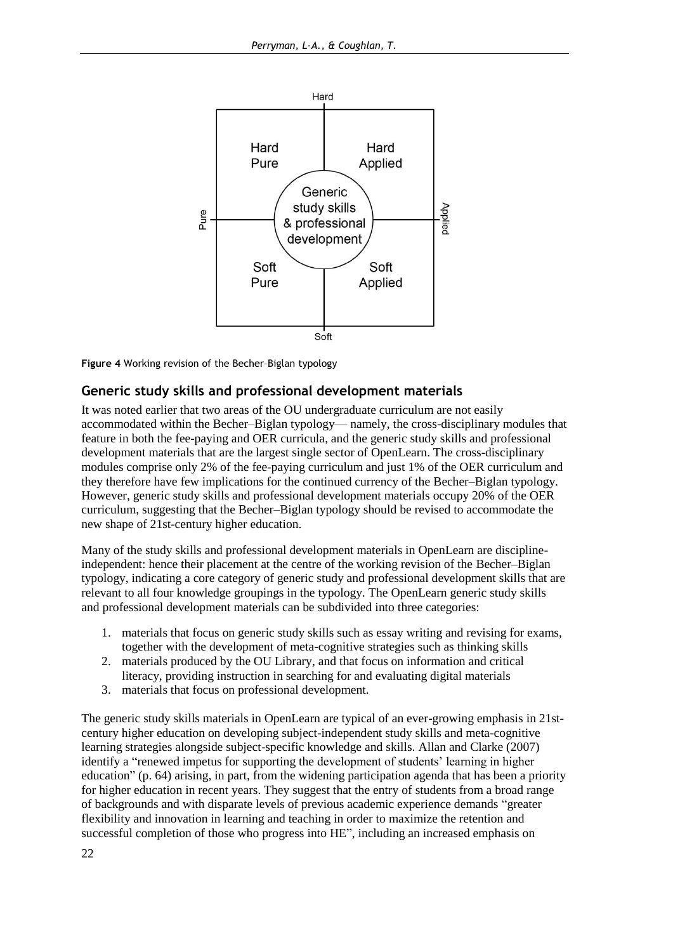

**Figure 4** Working revision of the Becher–Biglan typology

### **Generic study skills and professional development materials**

It was noted earlier that two areas of the OU undergraduate curriculum are not easily accommodated within the Becher–Biglan typology— namely, the cross-disciplinary modules that feature in both the fee-paying and OER curricula, and the generic study skills and professional development materials that are the largest single sector of OpenLearn. The cross-disciplinary modules comprise only 2% of the fee-paying curriculum and just 1% of the OER curriculum and they therefore have few implications for the continued currency of the Becher–Biglan typology. However, generic study skills and professional development materials occupy 20% of the OER curriculum, suggesting that the Becher–Biglan typology should be revised to accommodate the new shape of 21st-century higher education.

Many of the study skills and professional development materials in OpenLearn are disciplineindependent: hence their placement at the centre of the working revision of the Becher–Biglan typology, indicating a core category of generic study and professional development skills that are relevant to all four knowledge groupings in the typology. The OpenLearn generic study skills and professional development materials can be subdivided into three categories:

- 1. materials that focus on generic study skills such as essay writing and revising for exams, together with the development of meta-cognitive strategies such as thinking skills
- 2. materials produced by the OU Library, and that focus on information and critical literacy, providing instruction in searching for and evaluating digital materials
- 3. materials that focus on professional development.

The generic study skills materials in OpenLearn are typical of an ever-growing emphasis in 21stcentury higher education on developing subject-independent study skills and meta-cognitive learning strategies alongside subject-specific knowledge and skills. Allan and Clarke (2007) identify a "renewed impetus for supporting the development of students' learning in higher education" (p. 64) arising, in part, from the widening participation agenda that has been a priority for higher education in recent years. They suggest that the entry of students from a broad range of backgrounds and with disparate levels of previous academic experience demands "greater flexibility and innovation in learning and teaching in order to maximize the retention and successful completion of those who progress into HE", including an increased emphasis on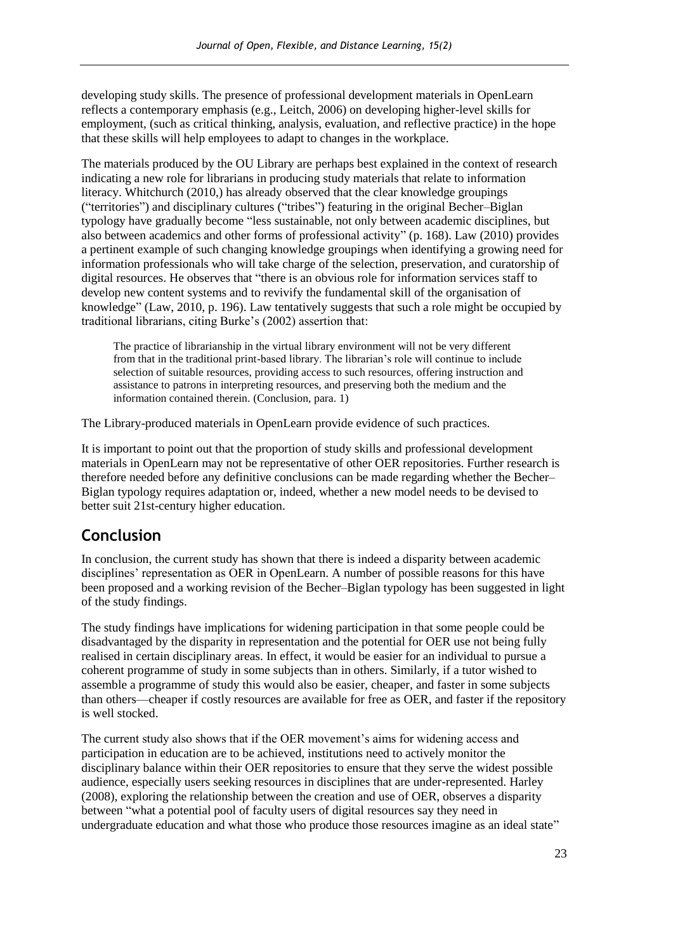developing study skills. The presence of professional development materials in OpenLearn reflects a contemporary emphasis (e.g., Leitch, 2006) on developing higher-level skills for employment, (such as critical thinking, analysis, evaluation, and reflective practice) in the hope that these skills will help employees to adapt to changes in the workplace.

The materials produced by the OU Library are perhaps best explained in the context of research indicating a new role for librarians in producing study materials that relate to information literacy. Whitchurch (2010,) has already observed that the clear knowledge groupings ("territories") and disciplinary cultures ("tribes") featuring in the original Becher–Biglan typology have gradually become "less sustainable, not only between academic disciplines, but also between academics and other forms of professional activity" (p. 168). Law (2010) provides a pertinent example of such changing knowledge groupings when identifying a growing need for information professionals who will take charge of the selection, preservation, and curatorship of digital resources. He observes that "there is an obvious role for information services staff to develop new content systems and to revivify the fundamental skill of the organisation of knowledge" (Law, 2010, p. 196). Law tentatively suggests that such a role might be occupied by traditional librarians, citing Burke's (2002) assertion that:

The practice of librarianship in the virtual library environment will not be very different from that in the traditional print-based library. The librarian's role will continue to include selection of suitable resources, providing access to such resources, offering instruction and assistance to patrons in interpreting resources, and preserving both the medium and the information contained therein. (Conclusion, para. 1)

The Library-produced materials in OpenLearn provide evidence of such practices.

It is important to point out that the proportion of study skills and professional development materials in OpenLearn may not be representative of other OER repositories. Further research is therefore needed before any definitive conclusions can be made regarding whether the Becher– Biglan typology requires adaptation or, indeed, whether a new model needs to be devised to better suit 21st-century higher education.

## **Conclusion**

In conclusion, the current study has shown that there is indeed a disparity between academic disciplines' representation as OER in OpenLearn. A number of possible reasons for this have been proposed and a working revision of the Becher–Biglan typology has been suggested in light of the study findings.

The study findings have implications for widening participation in that some people could be disadvantaged by the disparity in representation and the potential for OER use not being fully realised in certain disciplinary areas. In effect, it would be easier for an individual to pursue a coherent programme of study in some subjects than in others. Similarly, if a tutor wished to assemble a programme of study this would also be easier, cheaper, and faster in some subjects than others—cheaper if costly resources are available for free as OER, and faster if the repository is well stocked.

The current study also shows that if the OER movement's aims for widening access and participation in education are to be achieved, institutions need to actively monitor the disciplinary balance within their OER repositories to ensure that they serve the widest possible audience, especially users seeking resources in disciplines that are under-represented. Harley (2008), exploring the relationship between the creation and use of OER, observes a disparity between "what a potential pool of faculty users of digital resources say they need in undergraduate education and what those who produce those resources imagine as an ideal state"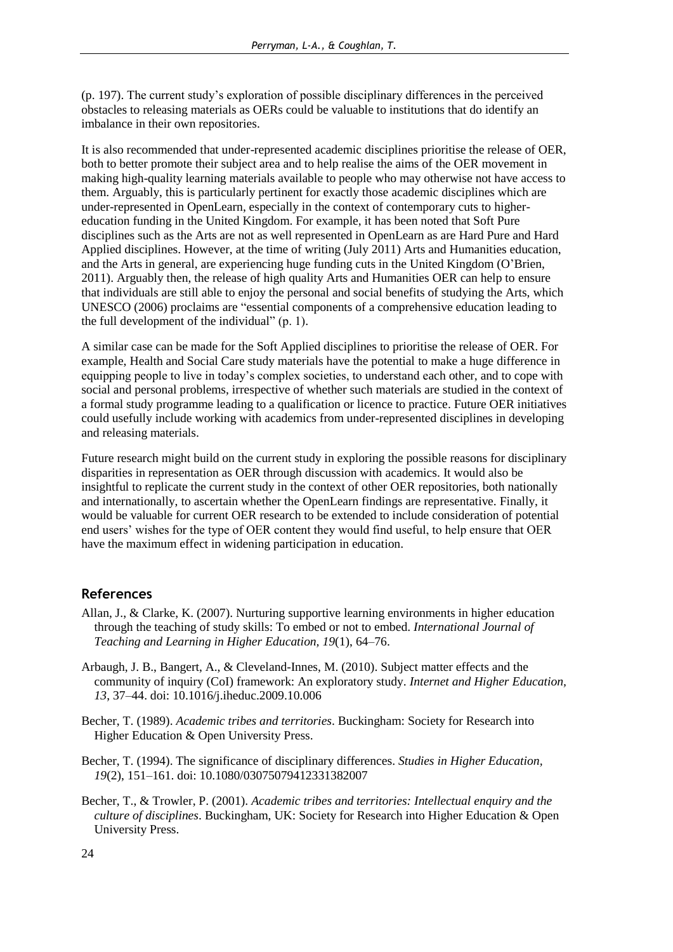(p. 197). The current study's exploration of possible disciplinary differences in the perceived obstacles to releasing materials as OERs could be valuable to institutions that do identify an imbalance in their own repositories.

It is also recommended that under-represented academic disciplines prioritise the release of OER, both to better promote their subject area and to help realise the aims of the OER movement in making high-quality learning materials available to people who may otherwise not have access to them. Arguably, this is particularly pertinent for exactly those academic disciplines which are under-represented in OpenLearn, especially in the context of contemporary cuts to highereducation funding in the United Kingdom. For example, it has been noted that Soft Pure disciplines such as the Arts are not as well represented in OpenLearn as are Hard Pure and Hard Applied disciplines. However, at the time of writing (July 2011) Arts and Humanities education, and the Arts in general, are experiencing huge funding cuts in the United Kingdom (O'Brien, 2011). Arguably then, the release of high quality Arts and Humanities OER can help to ensure that individuals are still able to enjoy the personal and social benefits of studying the Arts, which UNESCO (2006) proclaims are "essential components of a comprehensive education leading to the full development of the individual"  $(p. 1)$ .

A similar case can be made for the Soft Applied disciplines to prioritise the release of OER. For example, Health and Social Care study materials have the potential to make a huge difference in equipping people to live in today's complex societies, to understand each other, and to cope with social and personal problems, irrespective of whether such materials are studied in the context of a formal study programme leading to a qualification or licence to practice. Future OER initiatives could usefully include working with academics from under-represented disciplines in developing and releasing materials.

Future research might build on the current study in exploring the possible reasons for disciplinary disparities in representation as OER through discussion with academics. It would also be insightful to replicate the current study in the context of other OER repositories, both nationally and internationally, to ascertain whether the OpenLearn findings are representative. Finally, it would be valuable for current OER research to be extended to include consideration of potential end users' wishes for the type of OER content they would find useful, to help ensure that OER have the maximum effect in widening participation in education.

### **References**

- Allan, J., & Clarke, K. (2007). Nurturing supportive learning environments in higher education through the teaching of study skills: To embed or not to embed. *International Journal of Teaching and Learning in Higher Education, 19*(1), 64–76.
- Arbaugh, J. B., Bangert, A., & Cleveland-Innes, M. (2010). Subject matter effects and the community of inquiry (CoI) framework: An exploratory study. *Internet and Higher Education, 13*, 37–44. doi: 10.1016/j.iheduc.2009.10.006
- Becher, T. (1989). *Academic tribes and territories*. Buckingham: Society for Research into Higher Education & Open University Press.
- Becher, T. (1994). The significance of disciplinary differences. *Studies in Higher Education, 19*(2), 151–161. doi: 10.1080/03075079412331382007
- Becher, T., & Trowler, P. (2001). *Academic tribes and territories: Intellectual enquiry and the culture of disciplines*. Buckingham, UK: Society for Research into Higher Education & Open University Press.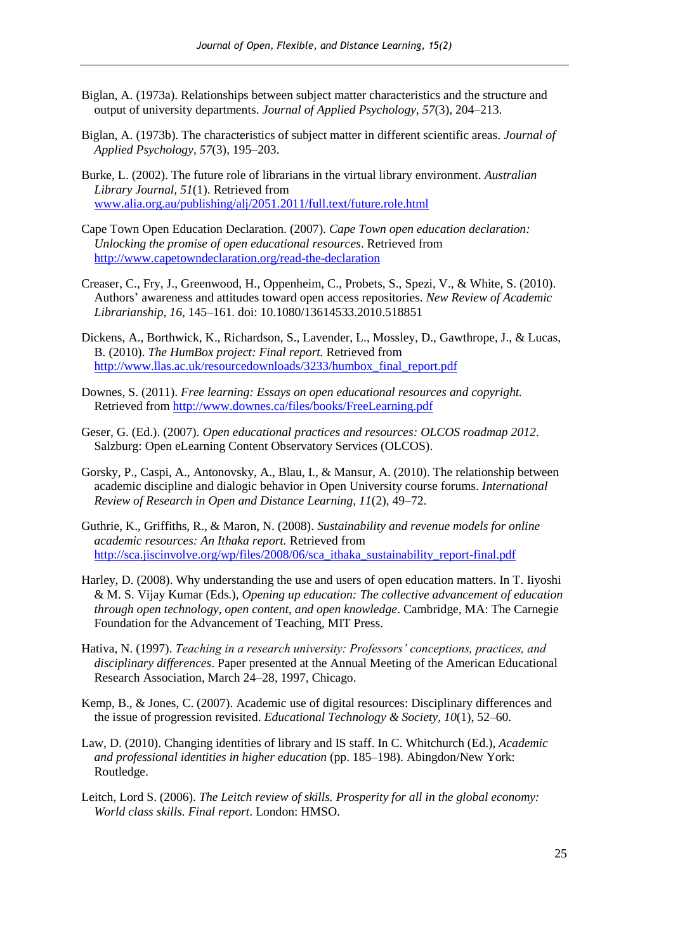- Biglan, A. (1973a). Relationships between subject matter characteristics and the structure and output of university departments. *Journal of Applied Psychology, 57*(3), 204–213.
- Biglan, A. (1973b). The characteristics of subject matter in different scientific areas. *Journal of Applied Psychology, 57*(3), 195–203.
- Burke, L. (2002). The future role of librarians in the virtual library environment. *Australian Library Journal, 51*(1). Retrieved from www.alia.org.au/publishing/alj/2051.2011/full.text/future.role.html
- Cape Town Open Education Declaration. (2007). *Cape Town open education declaration: Unlocking the promise of open educational resources*. Retrieved from http://www.capetowndeclaration.org/read-the-declaration
- Creaser, C., Fry, J., Greenwood, H., Oppenheim, C., Probets, S., Spezi, V., & White, S. (2010). Authors' awareness and attitudes toward open access repositories. *New Review of Academic Librarianship, 16*, 145–161. doi: 10.1080/13614533.2010.518851
- Dickens, A., Borthwick, K., Richardson, S., Lavender, L., Mossley, D., Gawthrope, J., & Lucas, B. (2010). *The HumBox project: Final report.* Retrieved from [http://www.llas.ac.uk/resourcedownloads/3233/humbox\\_final\\_report.pdf](http://www.llas.ac.uk/resourcedownloads/3233/humbox_final_report.pdf)
- Downes, S. (2011). *Free learning: Essays on open educational resources and copyright.*  Retrieved from<http://www.downes.ca/files/books/FreeLearning.pdf>
- Geser, G. (Ed.). (2007). *Open educational practices and resources: OLCOS roadmap 2012*. Salzburg: Open eLearning Content Observatory Services (OLCOS).
- Gorsky, P., Caspi, A., Antonovsky, A., Blau, I., & Mansur, A. (2010). The relationship between academic discipline and dialogic behavior in Open University course forums. *International Review of Research in Open and Distance Learning, 11*(2), 49–72.
- Guthrie, K., Griffiths, R., & Maron, N. (2008). *Sustainability and revenue models for online academic resources: An Ithaka report.* Retrieved from http://sca.jiscinvolve.org/wp/files/2008/06/sca\_ithaka\_sustainability\_report-final.pdf
- Harley, D. (2008). Why understanding the use and users of open education matters. In T. Iiyoshi & M. S. Vijay Kumar (Eds.), *Opening up education: The collective advancement of education through open technology, open content, and open knowledge*. Cambridge, MA: The Carnegie Foundation for the Advancement of Teaching, MIT Press.
- Hativa, N. (1997). *Teaching in a research university: Professors' conceptions, practices, and disciplinary differences*. Paper presented at the Annual Meeting of the American Educational Research Association, March 24–28, 1997, Chicago.
- Kemp, B., & Jones, C. (2007). Academic use of digital resources: Disciplinary differences and the issue of progression revisited. *Educational Technology & Society, 10*(1), 52–60.
- Law, D. (2010). Changing identities of library and IS staff. In C. Whitchurch (Ed.), *Academic and professional identities in higher education* (pp. 185–198). Abingdon/New York: Routledge.
- Leitch, Lord S. (2006). *The Leitch review of skills. Prosperity for all in the global economy: World class skills. Final report*. London: HMSO.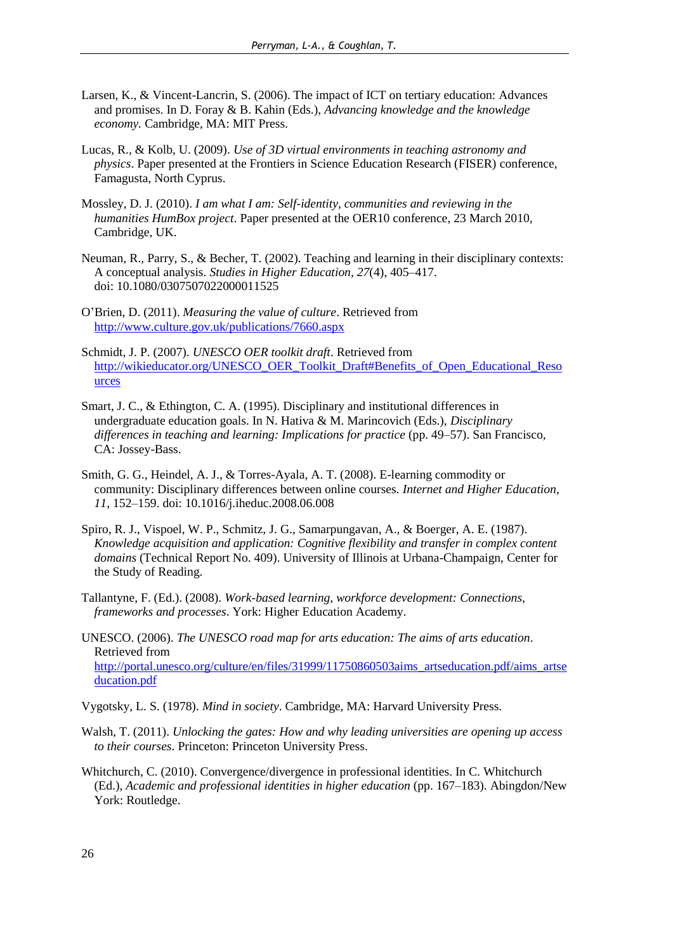- Larsen, K., & Vincent-Lancrin, S. (2006). The impact of ICT on tertiary education: Advances and promises. In D. Foray & B. Kahin (Eds.), *Advancing knowledge and the knowledge economy.* Cambridge, MA: MIT Press.
- Lucas, R., & Kolb, U. (2009). *Use of 3D virtual environments in teaching astronomy and physics*. Paper presented at the Frontiers in Science Education Research (FISER) conference, Famagusta, North Cyprus.
- Mossley, D. J. (2010). *I am what I am: Self-identity, communities and reviewing in the humanities HumBox project*. Paper presented at the OER10 conference, 23 March 2010, Cambridge, UK.
- Neuman, R., Parry, S., & Becher, T. (2002). Teaching and learning in their disciplinary contexts: A conceptual analysis. *Studies in Higher Education, 27*(4), 405–417. doi: 10.1080/0307507022000011525
- O'Brien, D. (2011). *Measuring the value of culture*. Retrieved from http://www.culture.gov.uk/publications/7660.aspx
- Schmidt, J. P. (2007). *UNESCO OER toolkit draft*. Retrieved from [http://wikieducator.org/UNESCO\\_OER\\_Toolkit\\_Draft#Benefits\\_of\\_Open\\_Educational\\_Reso](http://wikieducator.org/UNESCO_OER_Toolkit_Draft#Benefits_of_Open_Educational_Resources) [urces](http://wikieducator.org/UNESCO_OER_Toolkit_Draft#Benefits_of_Open_Educational_Resources)
- Smart, J. C., & Ethington, C. A. (1995). Disciplinary and institutional differences in undergraduate education goals. In N. Hativa & M. Marincovich (Eds.), *Disciplinary differences in teaching and learning: Implications for practice* (pp. 49–57). San Francisco, CA: Jossey-Bass.
- Smith, G. G., Heindel, A. J., & Torres-Ayala, A. T. (2008). E-learning commodity or community: Disciplinary differences between online courses. *Internet and Higher Education, 11*, 152–159. doi: 10.1016/j.iheduc.2008.06.008
- Spiro, R. J., Vispoel, W. P., Schmitz, J. G., Samarpungavan, A., & Boerger, A. E. (1987). *Knowledge acquisition and application: Cognitive flexibility and transfer in complex content domains* (Technical Report No. 409). University of Illinois at Urbana-Champaign, Center for the Study of Reading.
- Tallantyne, F. (Ed.). (2008). *Work-based learning, workforce development: Connections, frameworks and processes*. York: Higher Education Academy.
- UNESCO. (2006). *The UNESCO road map for arts education: The aims of arts education*. Retrieved from [http://portal.unesco.org/culture/en/files/31999/11750860503aims\\_artseducation.pdf/aims\\_artse](http://portal.unesco.org/culture/en/files/31999/11750860503aims_artseducation.pdf/aims_artseducation.pdf) [ducation.pdf](http://portal.unesco.org/culture/en/files/31999/11750860503aims_artseducation.pdf/aims_artseducation.pdf)

Vygotsky, L. S. (1978). *Mind in society*. Cambridge, MA: Harvard University Press.

- Walsh, T. (2011). *Unlocking the gates: How and why leading universities are opening up access to their courses*. Princeton: Princeton University Press.
- Whitchurch, C. (2010). Convergence/divergence in professional identities. In C. Whitchurch (Ed.), *Academic and professional identities in higher education* (pp. 167–183). Abingdon/New York: Routledge.